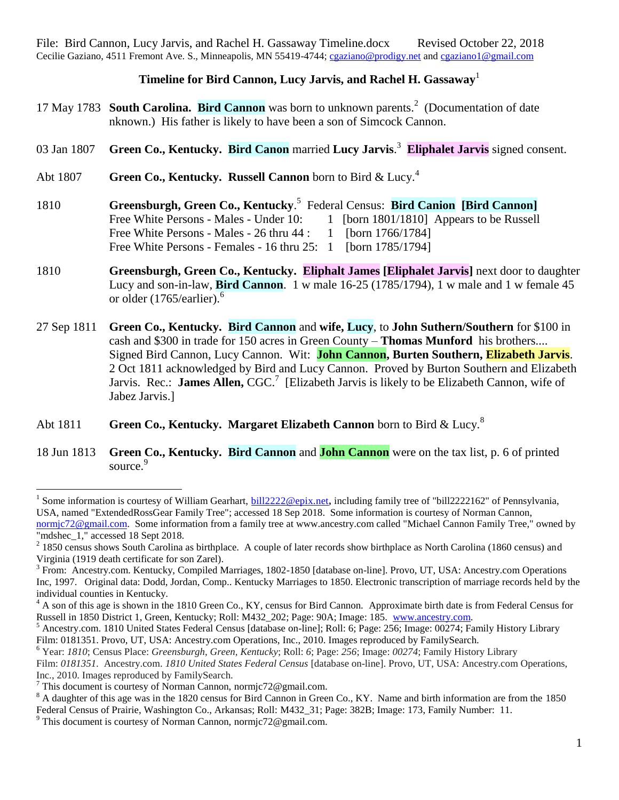## **Timeline for Bird Cannon, Lucy Jarvis, and Rachel H. Gassaway**<sup>1</sup>

- 17 May 1783 **South Carolina. Bird Cannon** was born to unknown parents. 2 (Documentation of date nknown.) His father is likely to have been a son of Simcock Cannon.
- 03 Jan 1807 **Green Co., Kentucky. Bird Canon** married **Lucy Jarvis**. 3 **Eliphalet Jarvis** signed consent.
- Abt 1807 **Green Co., Kentucky. Russell Cannon** born to Bird & Lucy.<sup>4</sup>
- 1810 **Greensburgh, Green Co., Kentucky**. 5 Federal Census: **Bird Canion [Bird Cannon]** Free White Persons - Males - Under 10: 1 [born 1801/1810] Appears to be Russell Free White Persons - Males - 26 thru 44 : 1 [born 1766/1784] Free White Persons - Females - 16 thru 25: 1 [born 1785/1794]
- 1810 **Greensburgh, Green Co., Kentucky. Eliphalt James [Eliphalet Jarvis]** next door to daughter Lucy and son-in-law, **Bird Cannon**. 1 w male 16-25 (1785/1794), 1 w male and 1 w female 45 or older  $(1765/earlier).<sup>6</sup>$
- 27 Sep 1811 **Green Co., Kentucky. Bird Cannon** and **wife, Lucy**, to **John Suthern/Southern** for \$100 in cash and \$300 in trade for 150 acres in Green County – **Thomas Munford** his brothers.... Signed Bird Cannon, Lucy Cannon. Wit: **John Cannon, Burten Southern, Elizabeth Jarvis**. 2 Oct 1811 acknowledged by Bird and Lucy Cannon. Proved by Burton Southern and Elizabeth Jarvis. Rec.: **James Allen, CGC.**<sup>7</sup> [Elizabeth Jarvis is likely to be Elizabeth Cannon, wife of Jabez Jarvis.]
- Abt 1811 **Green Co., Kentucky. Margaret Elizabeth Cannon** born to Bird & Lucy.<sup>8</sup>
- 18 Jun 1813 **Green Co., Kentucky. Bird Cannon** and **John Cannon** were on the tax list, p. 6 of printed source.<sup>9</sup>

 $\overline{a}$ <sup>1</sup> Some information is courtesy of William Gearhart, **bill2222@epix.net**, including family tree of "bill2222162" of Pennsylvania, USA, named "ExtendedRossGear Family Tree"; accessed 18 Sep 2018. Some information is courtesy of Norman Cannon, [normjc72@gmail.com.](mailto:normjc72@gmail.com) Some information from a family tree at www.ancestry.com called "Michael Cannon Family Tree," owned by "mdshec 1," accessed 18 Sept 2018.

 $2^{2}$  1850 census shows South Carolina as birthplace. A couple of later records show birthplace as North Carolina (1860 census) and Virginia (1919 death certificate for son Zarel).

<sup>&</sup>lt;sup>3</sup> From: Ancestry.com. Kentucky, Compiled Marriages, 1802-1850 [database on-line]. Provo, UT, USA: Ancestry.com Operations Inc, 1997. Original data: Dodd, Jordan, Comp.. Kentucky Marriages to 1850. Electronic transcription of marriage records held by the individual counties in Kentucky.

<sup>&</sup>lt;sup>4</sup> A son of this age is shown in the 1810 Green Co., KY, census for Bird Cannon. Approximate birth date is from Federal Census for Russell in 1850 District 1, Green, Kentucky; Roll: M432\_202; Page: 90A; Image: 185. [www.ancestry.com.](http://www.ancestry.com/)

<sup>5</sup> Ancestry.com. 1810 United States Federal Census [database on-line]; Roll: 6; Page: 256; Image: 00274; Family History Library Film: 0181351. Provo, UT, USA: Ancestry.com Operations, Inc., 2010. Images reproduced by FamilySearch.

<sup>6</sup> Year: *1810*; Census Place: *Greensburgh, Green, Kentucky*; Roll: *6*; Page: *256*; Image: *00274*; Family History Library Film: *0181351.* Ancestry.com. *1810 United States Federal Census* [database on-line]. Provo, UT, USA: Ancestry.com Operations, Inc., 2010. Images reproduced by FamilySearch.

<sup>&</sup>lt;sup>7</sup> This document is courtesy of Norman Cannon, normic72@gmail.com.

<sup>&</sup>lt;sup>8</sup> A daughter of this age was in the 1820 census for Bird Cannon in Green Co., KY. Name and birth information are from the 1850 Federal Census of Prairie, Washington Co., Arkansas; Roll: M432\_31; Page: 382B; Image: 173, Family Number: 11.

<sup>&</sup>lt;sup>9</sup> This document is courtesy of Norman Cannon, normjc72@gmail.com.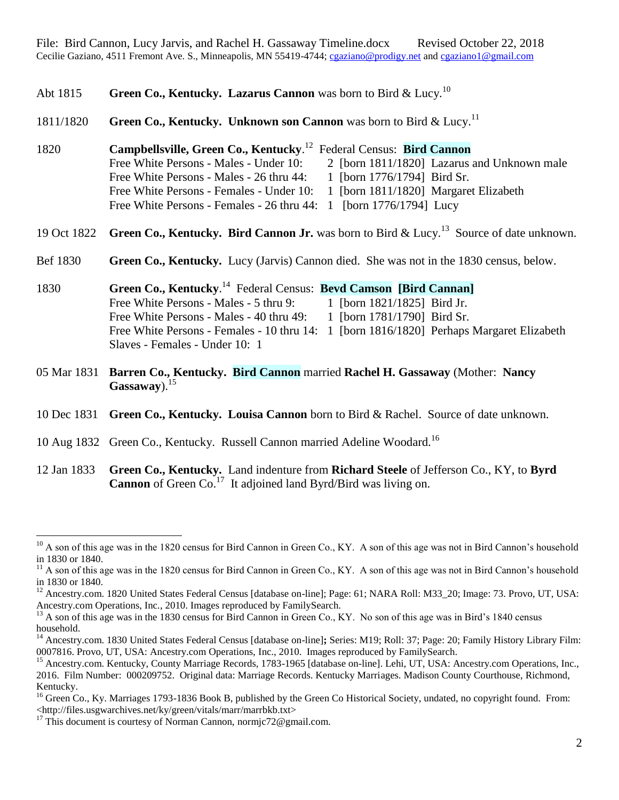Abt 1815 **Green Co., Kentucky. Lazarus Cannon** was born to Bird & Lucy.<sup>10</sup>

1811/1820 **Green Co., Kentucky. Unknown son Cannon** was born to Bird & Lucy.<sup>11</sup>

1820 **Campbellsville, Green Co., Kentucky**. 12 Federal Census: **Bird Cannon** Free White Persons - Males - Under 10: 2 [born 1811/1820] Lazarus and Unknown male Free White Persons - Males - 26 thru 44: 1 [born 1776/1794] Bird Sr. Free White Persons - Females - Under 10: 1 [born 1811/1820] Margaret Elizabeth Free White Persons - Females - 26 thru 44: 1 [born 1776/1794] Lucy

19 Oct 1822 **Green Co., Kentucky. Bird Cannon Jr.** was born to Bird & Lucy.<sup>13</sup> Source of date unknown.

Bef 1830 **Green Co., Kentucky.** Lucy (Jarvis) Cannon died. She was not in the 1830 census, below.

1830 **Green Co., Kentucky**. 14 Federal Census: **Bevd Camson [Bird Cannan]** Free White Persons - Males - 5 thru 9: 1 [born 1821/1825] Bird Jr. Free White Persons - Males - 40 thru 49: 1 [born 1781/1790] Bird Sr. Free White Persons - Females - 10 thru 14: 1 [born 1816/1820] Perhaps Margaret Elizabeth Slaves - Females - Under 10: 1

- 05 Mar 1831 **Barren Co., Kentucky. Bird Cannon** married **Rachel H. Gassaway** (Mother: **Nancy Gassaway**).<sup>15</sup>
- 10 Dec 1831 **Green Co., Kentucky. Louisa Cannon** born to Bird & Rachel. Source of date unknown.
- 10 Aug 1832 Green Co., Kentucky. Russell Cannon married Adeline Woodard.<sup>16</sup>

12 Jan 1833 **Green Co., Kentucky.** Land indenture from **Richard Steele** of Jefferson Co., KY, to **Byrd**  Cannon of Green Co.<sup>17</sup> It adjoined land Byrd/Bird was living on.

 $10$  A son of this age was in the 1820 census for Bird Cannon in Green Co., KY. A son of this age was not in Bird Cannon's household in 1830 or 1840.

<sup>&</sup>lt;sup>11</sup> A son of this age was in the 1820 census for Bird Cannon in Green Co., KY. A son of this age was not in Bird Cannon's household in 1830 or 1840.

<sup>&</sup>lt;sup>12</sup> Ancestry.com. 1820 United States Federal Census [database on-line]; Page: 61; NARA Roll: M33 20; Image: 73. Provo, UT, USA: Ancestry.com Operations, Inc., 2010. Images reproduced by FamilySearch.

<sup>&</sup>lt;sup>13</sup> A son of this age was in the 1830 census for Bird Cannon in Green Co., KY. No son of this age was in Bird's 1840 census household.

<sup>14</sup> Ancestry.com. 1830 United States Federal Census [database on-line]**;** Series: M19; Roll: 37; Page: 20; Family History Library Film: 0007816. Provo, UT, USA: Ancestry.com Operations, Inc., 2010. Images reproduced by FamilySearch.

<sup>&</sup>lt;sup>15</sup> Ancestry.com. Kentucky, County Marriage Records, 1783-1965 [database on-line]. Lehi, UT, USA: Ancestry.com Operations, Inc., 2016. Film Number: 000209752. Original data: Marriage Records. Kentucky Marriages. Madison County Courthouse, Richmond, Kentucky.

 $^{16}$  Green Co., Ky. Marriages 1793-1836 Book B, published by the Green Co Historical Society, undated, no copyright found. From: <http://files.usgwarchives.net/ky/green/vitals/marr/marrbkb.txt>

<sup>&</sup>lt;sup>17</sup> This document is courtesy of Norman Cannon, normjc72@gmail.com.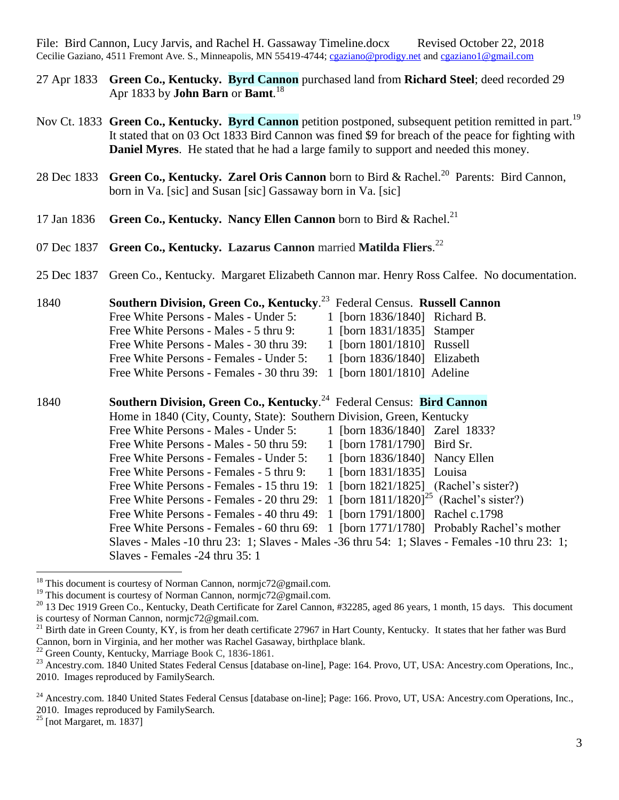- 27 Apr 1833 **Green Co., Kentucky. Byrd Cannon** purchased land from **Richard Steel**; deed recorded 29 Apr 1833 by **John Barn** or **Bamt**. 18
- Nov Ct. 1833 **Green Co., Kentucky. Byrd Cannon** petition postponed, subsequent petition remitted in part.<sup>19</sup> It stated that on 03 Oct 1833 Bird Cannon was fined \$9 for breach of the peace for fighting with **Daniel Myres**. He stated that he had a large family to support and needed this money.
- 28 Dec 1833 **Green Co., Kentucky. Zarel Oris Cannon** born to Bird & Rachel.<sup>20</sup> Parents: Bird Cannon, born in Va. [sic] and Susan [sic] Gassaway born in Va. [sic]
- 17 Jan 1836 **Green Co., Kentucky. Nancy Ellen Cannon** born to Bird & Rachel.<sup>21</sup>
- 07 Dec 1837 **Green Co., Kentucky. Lazarus Cannon** married **Matilda Fliers**. 22
- 25 Dec 1837 Green Co., Kentucky. Margaret Elizabeth Cannon mar. Henry Ross Calfee. No documentation.

| 1840 | Southern Division, Green Co., Kentucky. <sup>23</sup> Federal Census. Russell Cannon |  |  |  |  |  |  |
|------|--------------------------------------------------------------------------------------|--|--|--|--|--|--|
|      | Free White Persons - Males - Under 5:<br>1 [born 1836/1840] Richard B.               |  |  |  |  |  |  |
|      | 1 [born 1831/1835] Stamper<br>Free White Persons - Males - 5 thru 9:                 |  |  |  |  |  |  |
|      | 1 [born 1801/1810] Russell<br>Free White Persons - Males - 30 thru 39:               |  |  |  |  |  |  |
|      | 1 [born 1836/1840] Elizabeth<br>Free White Persons - Females - Under 5:              |  |  |  |  |  |  |
|      | 1 [born 1801/1810] Adeline<br>Free White Persons - Females - 30 thru 39:             |  |  |  |  |  |  |
| 1840 | Southern Division, Green Co., Kentucky. <sup>24</sup> Federal Census: Bird Cannon    |  |  |  |  |  |  |
|      | Home in 1840 (City, County, State): Southern Division, Green, Kentucky               |  |  |  |  |  |  |
|      | 1 [born 1836/1840] Zarel 1833?<br>Free White Persons - Males - Under 5:              |  |  |  |  |  |  |
|      | 1 [born 1781/1790] Bird Sr.<br>Free White Persons - Males - 50 thru 59:              |  |  |  |  |  |  |

Free White Persons - Females - Under 5: 1 [born 1836/1840] Nancy Ellen Free White Persons - Females - 5 thru 9: 1 [born 1831/1835] Louisa

- Free White Persons Females 15 thru 19: 1 [born 1821/1825] (Rachel's sister?)
- Free White Persons Females 20 thru 29:  $1$  [born  $1811/1820$ ]<sup>25</sup> (Rachel's sister?)
- Free White Persons Females 40 thru 49: 1 [born 1791/1800] Rachel c.1798
	- Free White Persons Females 60 thru 69: 1 [born 1771/1780] Probably Rachel's mother
- Slaves Males -10 thru 23: 1; Slaves Males -36 thru 54: 1; Slaves Females -10 thru 23: 1; Slaves - Females -24 thru 35: 1

<sup>&</sup>lt;sup>18</sup> This document is courtesy of Norman Cannon, normjc72@gmail.com.

<sup>&</sup>lt;sup>19</sup> This document is courtesy of Norman Cannon, normjc72@gmail.com.

 $20$  13 Dec 1919 Green Co., Kentucky, Death Certificate for Zarel Cannon, #32285, aged 86 years, 1 month, 15 days. This document is courtesy of Norman Cannon, normjc72@gmail.com.

<sup>&</sup>lt;sup>21</sup> Birth date in Green County, KY, is from her death certificate 27967 in Hart County, Kentucky. It states that her father was Burd Cannon, born in Virginia, and her mother was Rachel Gasaway, birthplace blank.

 $^{22}$  Green County, Kentucky, Marriage Book C, 1836-1861.

<sup>&</sup>lt;sup>23</sup> Ancestry.com. 1840 United States Federal Census [database on-line], Page: 164. Provo, UT, USA: Ancestry.com Operations, Inc., 2010. Images reproduced by FamilySearch.

<sup>&</sup>lt;sup>24</sup> Ancestry.com. 1840 United States Federal Census [database on-line]; Page: 166. Provo, UT, USA: Ancestry.com Operations, Inc., 2010. Images reproduced by FamilySearch.

 $25$  [not Margaret, m. 1837]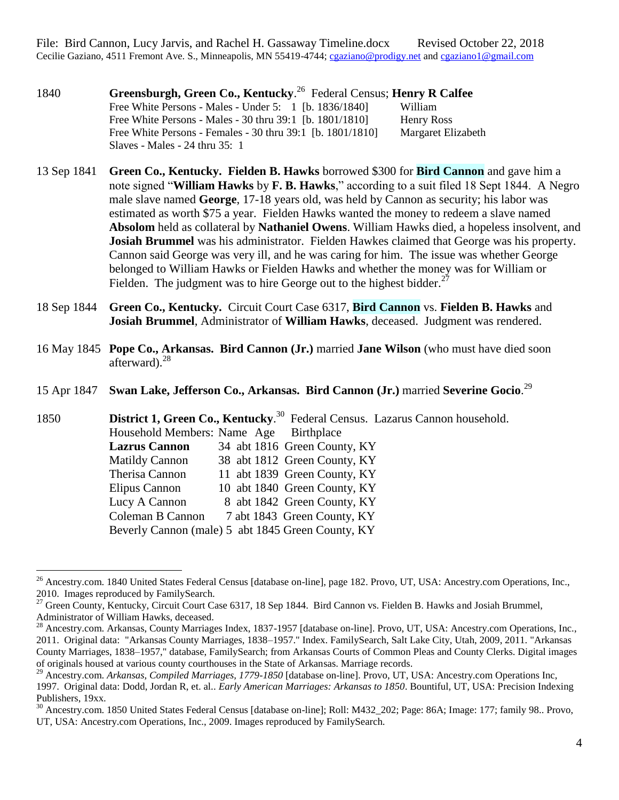1840 **Greensburgh, Green Co., Kentucky**. <sup>26</sup> Federal Census; **Henry R Calfee** Free White Persons - Males - Under 5: 1 [b. 1836/1840] William Free White Persons - Males - 30 thru 39:1 [b. 1801/1810] Henry Ross Free White Persons - Females - 30 thru 39:1 [b. 1801/1810] Margaret Elizabeth Slaves - Males - 24 thru 35: 1

13 Sep 1841 **Green Co., Kentucky. Fielden B. Hawks** borrowed \$300 for **Bird Cannon** and gave him a note signed "**William Hawks** by **F. B. Hawks**," according to a suit filed 18 Sept 1844. A Negro male slave named **George**, 17-18 years old, was held by Cannon as security; his labor was estimated as worth \$75 a year. Fielden Hawks wanted the money to redeem a slave named **Absolom** held as collateral by **Nathaniel Owens**. William Hawks died, a hopeless insolvent, and **Josiah Brummel** was his administrator. Fielden Hawkes claimed that George was his property. Cannon said George was very ill, and he was caring for him. The issue was whether George belonged to William Hawks or Fielden Hawks and whether the money was for William or Fielden. The judgment was to hire George out to the highest bidder.  $27$ 

- 18 Sep 1844 **Green Co., Kentucky.** Circuit Court Case 6317, **Bird Cannon** vs. **Fielden B. Hawks** and **Josiah Brummel**, Administrator of **William Hawks**, deceased. Judgment was rendered.
- 16 May 1845 **Pope Co., Arkansas. Bird Cannon (Jr.)** married **Jane Wilson** (who must have died soon afterward). $^{28}$
- 15 Apr 1847 **Swan Lake, Jefferson Co., Arkansas. Bird Cannon (Jr.)** married **Severine Gocio**. 29

1850 **District 1, Green Co., Kentucky**. 30 Federal Census. Lazarus Cannon household. Household Members: Name Age Birthplace **Lazrus Cannon** 34 abt 1816 Green County, KY Matildy Cannon 38 abt 1812 Green County, KY Therisa Cannon 11 abt 1839 Green County, KY Elipus Cannon 10 abt 1840 Green County, KY Lucy A Cannon 8 abt 1842 Green County, KY Coleman B Cannon 7 abt 1843 Green County, KY Beverly Cannon (male) 5 abt 1845 Green County, KY

<sup>&</sup>lt;sup>26</sup> Ancestry.com. 1840 United States Federal Census [database on-line], page 182. Provo, UT, USA: Ancestry.com Operations, Inc., 2010. Images reproduced by FamilySearch.

<sup>27</sup> Green County, Kentucky, Circuit Court Case 6317, 18 Sep 1844. Bird Cannon vs. Fielden B. Hawks and Josiah Brummel, Administrator of William Hawks, deceased.

<sup>28</sup> Ancestry.com. Arkansas, County Marriages Index, 1837-1957 [database on-line]. Provo, UT, USA: Ancestry.com Operations, Inc., 2011. Original data: "Arkansas County Marriages, 1838–1957." Index. FamilySearch, Salt Lake City, Utah, 2009, 2011. "Arkansas County Marriages, 1838–1957," database, FamilySearch; from Arkansas Courts of Common Pleas and County Clerks. Digital images of originals housed at various county courthouses in the State of Arkansas. Marriage records.

<sup>29</sup> Ancestry.com. *Arkansas, Compiled Marriages, 1779-1850* [database on-line]. Provo, UT, USA: Ancestry.com Operations Inc, 1997. Original data: Dodd, Jordan R, et. al.. *Early American Marriages: Arkansas to 1850*. Bountiful, UT, USA: Precision Indexing Publishers, 19xx.

<sup>30</sup> Ancestry.com. 1850 United States Federal Census [database on-line]; Roll: M432\_202; Page: 86A; Image: 177; family 98.. Provo, UT, USA: Ancestry.com Operations, Inc., 2009. Images reproduced by FamilySearch.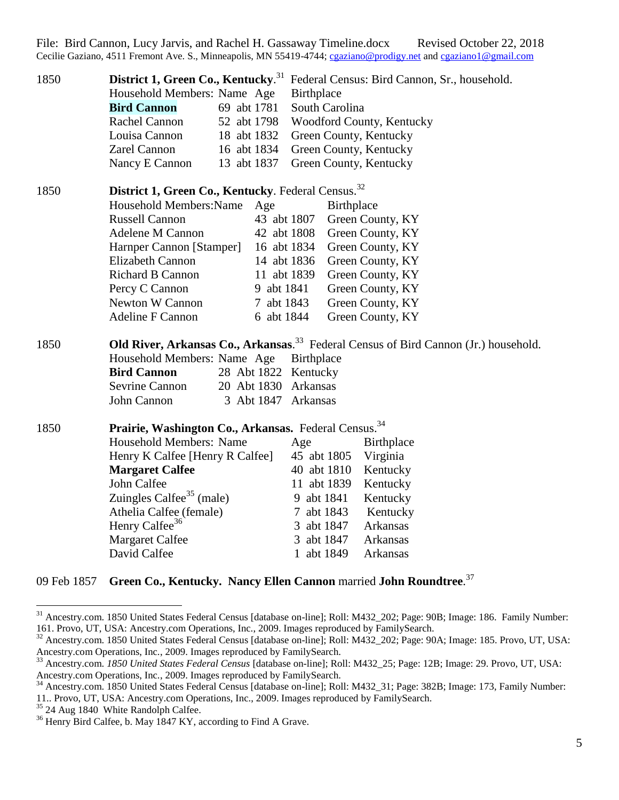| 1850 | District 1, Green Co., Kentucky. <sup>31</sup><br>Household Members: Name Age<br><b>Bird Cannon</b><br>Rachel Cannon<br>Louisa Cannon<br>Zarel Cannon<br>Nancy E Cannon                                                                                                                                            | 69 abt 1781<br>52 abt 1798<br>18 abt 1832<br>16 abt 1834<br>13 abt 1837                                                  | <b>Birthplace</b><br>South Carolina<br>Green County, Kentucky<br>Green County, Kentucky<br>Green County, Kentucky    | Federal Census: Bird Cannon, Sr., household.<br>Woodford County, Kentucky                                                                                    |
|------|--------------------------------------------------------------------------------------------------------------------------------------------------------------------------------------------------------------------------------------------------------------------------------------------------------------------|--------------------------------------------------------------------------------------------------------------------------|----------------------------------------------------------------------------------------------------------------------|--------------------------------------------------------------------------------------------------------------------------------------------------------------|
| 1850 | District 1, Green Co., Kentucky. Federal Census. <sup>32</sup><br>Household Members: Name<br><b>Russell Cannon</b><br><b>Adelene M Cannon</b><br>Harnper Cannon [Stamper]<br><b>Elizabeth Cannon</b><br>Richard B Cannon<br>Percy C Cannon<br>Newton W Cannon<br><b>Adeline F Cannon</b>                           | Age<br>43 abt 1807<br>42 abt 1808<br>16 abt 1834<br>14 abt 1836<br>11 abt 1839<br>9 abt 1841<br>7 abt 1843<br>6 abt 1844 | Birthplace                                                                                                           | Green County, KY<br>Green County, KY<br>Green County, KY<br>Green County, KY<br>Green County, KY<br>Green County, KY<br>Green County, KY<br>Green County, KY |
| 1850 | Household Members: Name Age<br><b>Bird Cannon</b><br><b>Sevrine Cannon</b><br>John Cannon                                                                                                                                                                                                                          | 28 Abt 1822 Kentucky<br>20 Abt 1830 Arkansas<br>3 Abt 1847 Arkansas                                                      | Birthplace                                                                                                           | Old River, Arkansas Co., Arkansas. <sup>33</sup> Federal Census of Bird Cannon (Jr.) household.                                                              |
| 1850 | Prairie, Washington Co., Arkansas. Federal Census. <sup>34</sup><br>Household Members: Name<br>Henry K Calfee [Henry R Calfee]<br><b>Margaret Calfee</b><br>John Calfee<br>Zuingles Calfee <sup>35</sup> (male)<br>Athelia Calfee (female)<br>Henry Calfee <sup>36</sup><br><b>Margaret Calfee</b><br>David Calfee |                                                                                                                          | Age<br>45 abt 1805<br>40 abt 1810<br>11 abt 1839<br>9 abt 1841<br>7 abt 1843<br>3 abt 1847<br>abt 1847<br>1 abt 1849 | Birthplace<br>Virginia<br>Kentucky<br>Kentucky<br>Kentucky<br>Kentucky<br>Arkansas<br>Arkansas<br>Arkansas                                                   |

## 09 Feb 1857 **Green Co., Kentucky. Nancy Ellen Cannon** married **John Roundtree**. 37

<sup>&</sup>lt;sup>31</sup> Ancestry.com. 1850 United States Federal Census [database on-line]; Roll: M432\_202; Page: 90B; Image: 186. Family Number: 161. Provo, UT, USA: Ancestry.com Operations, Inc., 2009. Images reproduced by FamilySearch.

<sup>&</sup>lt;sup>32</sup> Ancestry.com. 1850 United States Federal Census [database on-line]; Roll: M432\_202; Page: 90A; Image: 185. Provo, UT, USA: Ancestry.com Operations, Inc., 2009. Images reproduced by FamilySearch.

<sup>33</sup> Ancestry.com. *1850 United States Federal Census* [database on-line]; Roll: M432\_25; Page: 12B; Image: 29. Provo, UT, USA: Ancestry.com Operations, Inc., 2009. Images reproduced by FamilySearch.

<sup>&</sup>lt;sup>34</sup> Ancestry.com. 1850 United States Federal Census [database on-line]; Roll: M432\_31; Page: 382B; Image: 173, Family Number: 11.. Provo, UT, USA: Ancestry.com Operations, Inc., 2009. Images reproduced by FamilySearch.

<sup>&</sup>lt;sup>35</sup> 24 Aug 1840 White Randolph Calfee.

<sup>&</sup>lt;sup>36</sup> Henry Bird Calfee, b. May 1847 KY, according to Find A Grave.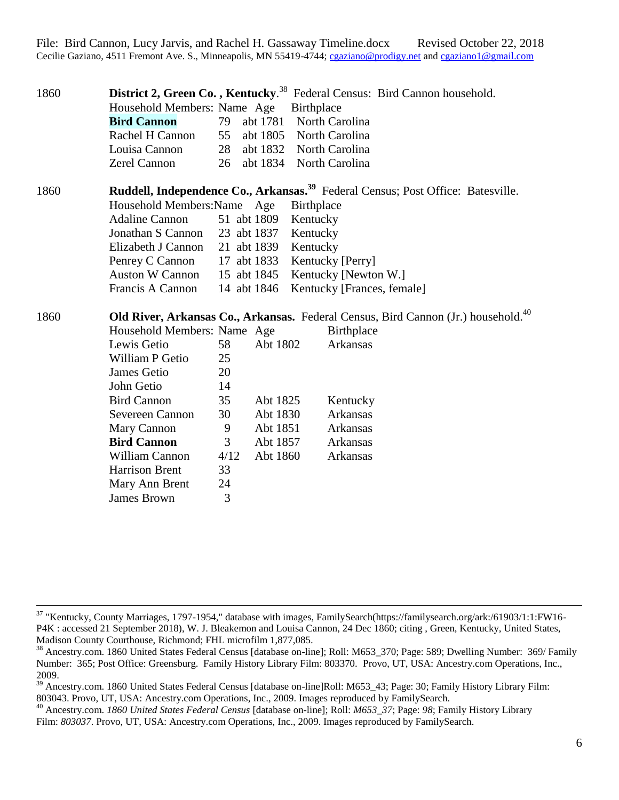| 1860 |                                                                                               |             |          | District 2, Green Co., Kentucky. <sup>38</sup> Federal Census: Bird Cannon household. |  |  |
|------|-----------------------------------------------------------------------------------------------|-------------|----------|---------------------------------------------------------------------------------------|--|--|
|      | Household Members: Name Age                                                                   |             |          | Birthplace                                                                            |  |  |
|      | <b>Bird Cannon</b>                                                                            | 79          | abt 1781 | North Carolina                                                                        |  |  |
|      | Rachel H Cannon                                                                               | 55          | abt 1805 | North Carolina                                                                        |  |  |
|      | Louisa Cannon                                                                                 | 28          |          | abt 1832 North Carolina                                                               |  |  |
|      | Zerel Cannon                                                                                  | 26          | abt 1834 | North Carolina                                                                        |  |  |
| 1860 | Ruddell, Independence Co., Arkansas. <sup>39</sup> Federal Census; Post Office: Batesville.   |             |          |                                                                                       |  |  |
|      | Household Members: Name Age                                                                   |             |          | <b>Birthplace</b>                                                                     |  |  |
|      | <b>Adaline Cannon</b>                                                                         | 51 abt 1809 |          | Kentucky                                                                              |  |  |
|      | Jonathan S Cannon                                                                             | 23 abt 1837 |          | Kentucky                                                                              |  |  |
|      | Elizabeth J Cannon                                                                            | 21 abt 1839 |          | Kentucky                                                                              |  |  |
|      | Penrey C Cannon                                                                               | 17 abt 1833 |          | Kentucky [Perry]                                                                      |  |  |
|      | <b>Auston W Cannon</b>                                                                        | 15 abt 1845 |          | Kentucky [Newton W.]                                                                  |  |  |
|      | Francis A Cannon                                                                              | 14 abt 1846 |          | Kentucky [Frances, female]                                                            |  |  |
| 1860 | Old River, Arkansas Co., Arkansas. Federal Census, Bird Cannon (Jr.) household. <sup>40</sup> |             |          |                                                                                       |  |  |
|      | Household Members: Name Age                                                                   |             |          | <b>Birthplace</b>                                                                     |  |  |
|      | Lewis Getio                                                                                   | 58          | Abt 1802 | Arkansas                                                                              |  |  |
|      | William P Getio                                                                               | 25          |          |                                                                                       |  |  |
|      | James Getio                                                                                   | 20          |          |                                                                                       |  |  |
|      | John Getio                                                                                    | 14          |          |                                                                                       |  |  |
|      | <b>Bird Cannon</b>                                                                            | 35          | Abt 1825 | Kentucky                                                                              |  |  |
|      | Severeen Cannon                                                                               | 30          | Abt 1830 | <b>Arkansas</b>                                                                       |  |  |
|      | Mary Cannon                                                                                   | 9           | Abt 1851 | Arkansas                                                                              |  |  |
|      | <b>Bird Cannon</b>                                                                            | 3           | Abt 1857 | Arkansas                                                                              |  |  |
|      | <b>William Cannon</b>                                                                         | 4/12        | Abt 1860 | Arkansas                                                                              |  |  |
|      | <b>Harrison Brent</b>                                                                         | 33          |          |                                                                                       |  |  |
|      | Mary Ann Brent                                                                                | 24          |          |                                                                                       |  |  |
|      | James Brown                                                                                   | 3           |          |                                                                                       |  |  |

<sup>&</sup>lt;sup>37</sup> "Kentucky, County Marriages, 1797-1954," database with images, FamilySearch(https://familysearch.org/ark:/61903/1:1:FW16-P4K : accessed 21 September 2018), W. J. Bleakemon and Louisa Cannon, 24 Dec 1860; citing , Green, Kentucky, United States, Madison County Courthouse, Richmond; FHL microfilm 1,877,085.

<sup>&</sup>lt;sup>38</sup> Ancestry.com. 1860 United States Federal Census [database on-line]; Roll: M653 370; Page: 589; Dwelling Number: 369/ Family Number: 365; Post Office: Greensburg. Family History Library Film: 803370. Provo, UT, USA: Ancestry.com Operations, Inc., 2009.

<sup>39</sup> Ancestry.com. 1860 United States Federal Census [database on-line]Roll: M653\_43; Page: 30; Family History Library Film: 803043. Provo, UT, USA: Ancestry.com Operations, Inc., 2009. Images reproduced by FamilySearch.

<sup>40</sup> Ancestry.com. *1860 United States Federal Census* [database on-line]; Roll: *M653\_37*; Page: *98*; Family History Library Film: 803037. Provo, UT, USA: Ancestry.com Operations, Inc., 2009. Images reproduced by FamilySearch.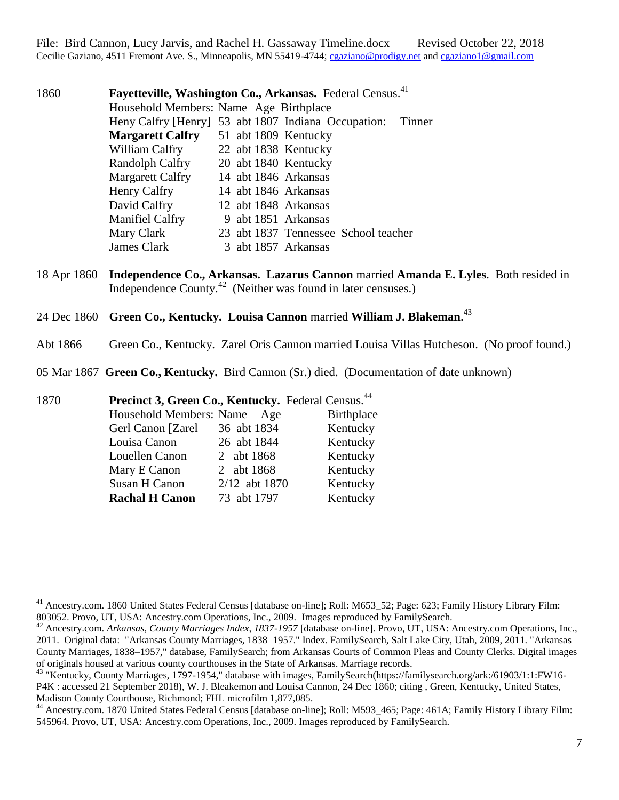File: Bird Cannon, Lucy Jarvis, and Rachel H. Gassaway Timeline.docx Revised October 22, 2018 Cecilie Gaziano, 4511 Fremont Ave. S., Minneapolis, MN 55419-4744; [cgaziano@prodigy.net](mailto:cgaziano@prodigy.net) and [cgaziano1@gmail.com](mailto:cgaziano1@gmail.com)

1860 **Fayetteville, Washington Co., Arkansas.** Federal Census.<sup>41</sup> Household Members: Name Age Birthplace Heny Calfry [Henry] 53 abt 1807 Indiana Occupation: Tinner **Margarett Calfry** 51 abt 1809 Kentucky William Calfry 22 abt 1838 Kentucky Randolph Calfry 20 abt 1840 Kentucky Margarett Calfry 14 abt 1846 Arkansas Henry Calfry 14 abt 1846 Arkansas David Calfry 12 abt 1848 Arkansas Manifiel Calfry 9 abt 1851 Arkansas Mary Clark 23 abt 1837 Tennessee School teacher James Clark 3 abt 1857 Arkansas

- 18 Apr 1860 **Independence Co., Arkansas. Lazarus Cannon** married **Amanda E. Lyles**. Both resided in Independence County.<sup>42</sup> (Neither was found in later censuses.)
- 24 Dec 1860 **Green Co., Kentucky. Louisa Cannon** married **William J. Blakeman**. 43
- Abt 1866 Green Co., Kentucky. Zarel Oris Cannon married Louisa Villas Hutcheson. (No proof found.)
- 05 Mar 1867 **Green Co., Kentucky.** Bird Cannon (Sr.) died. (Documentation of date unknown)

1870 **Precinct 3, Green Co., Kentucky.** Federal Census.<sup>44</sup>

| Household Members: Name Age |               | Birthplace |
|-----------------------------|---------------|------------|
| Gerl Canon [Zarel]          | 36 abt 1834   | Kentucky   |
| Louisa Canon                | 26 abt 1844   | Kentucky   |
| Louellen Canon              | 2 abt 1868    | Kentucky   |
| Mary E Canon                | 2 abt 1868    | Kentucky   |
| Susan H Canon               | 2/12 abt 1870 | Kentucky   |
| <b>Rachal H Canon</b>       | 73 abt 1797   | Kentucky   |
|                             |               |            |

<sup>&</sup>lt;sup>41</sup> Ancestry.com. 1860 United States Federal Census [database on-line]; Roll: M653 52; Page: 623; Family History Library Film: 803052. Provo, UT, USA: Ancestry.com Operations, Inc., 2009. Images reproduced by FamilySearch.

<sup>42</sup> Ancestry.com. *Arkansas, County Marriages Index, 1837-1957* [database on-line]. Provo, UT, USA: Ancestry.com Operations, Inc., 2011. Original data: "Arkansas County Marriages, 1838–1957." Index. FamilySearch, Salt Lake City, Utah, 2009, 2011. "Arkansas County Marriages, 1838–1957," database, FamilySearch; from Arkansas Courts of Common Pleas and County Clerks. Digital images of originals housed at various county courthouses in the State of Arkansas. Marriage records.

<sup>43</sup> "Kentucky, County Marriages, 1797-1954," database with images, FamilySearch(https://familysearch.org/ark:/61903/1:1:FW16- P4K : accessed 21 September 2018), W. J. Bleakemon and Louisa Cannon, 24 Dec 1860; citing , Green, Kentucky, United States, Madison County Courthouse, Richmond; FHL microfilm 1,877,085.

<sup>44</sup> Ancestry.com. 1870 United States Federal Census [database on-line]; Roll: M593\_465; Page: 461A; Family History Library Film: 545964. Provo, UT, USA: Ancestry.com Operations, Inc., 2009. Images reproduced by FamilySearch.